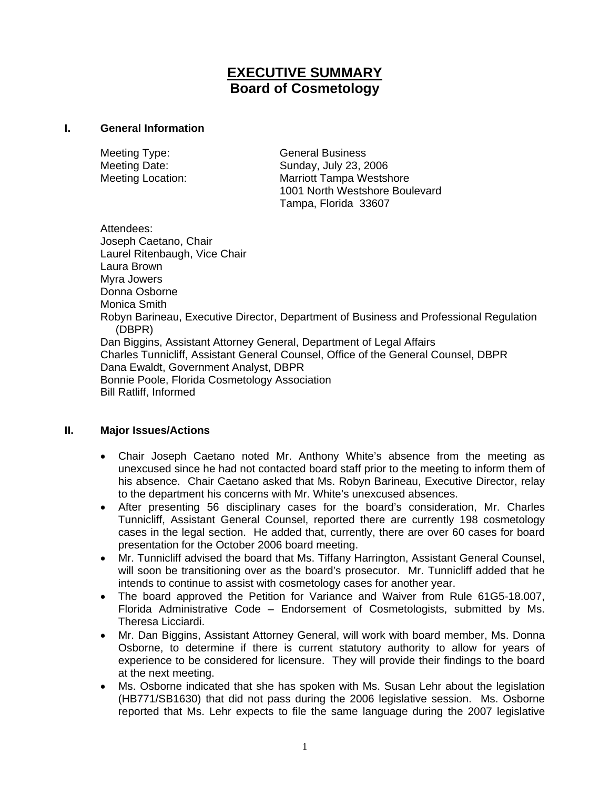# **EXECUTIVE SUMMARY Board of Cosmetology**

#### **I. General Information**

Meeting Type: General Business

Meeting Date: Sunday, July 23, 2006 Meeting Location: Marriott Tampa Westshore 1001 North Westshore Boulevard Tampa, Florida 33607

Attendees: Joseph Caetano, Chair Laurel Ritenbaugh, Vice Chair Laura Brown Myra Jowers Donna Osborne Monica Smith Robyn Barineau, Executive Director, Department of Business and Professional Regulation (DBPR) Dan Biggins, Assistant Attorney General, Department of Legal Affairs Charles Tunnicliff, Assistant General Counsel, Office of the General Counsel, DBPR Dana Ewaldt, Government Analyst, DBPR Bonnie Poole, Florida Cosmetology Association Bill Ratliff, Informed

### **II. Major Issues/Actions**

- Chair Joseph Caetano noted Mr. Anthony White's absence from the meeting as unexcused since he had not contacted board staff prior to the meeting to inform them of his absence. Chair Caetano asked that Ms. Robyn Barineau, Executive Director, relay to the department his concerns with Mr. White's unexcused absences.
- After presenting 56 disciplinary cases for the board's consideration, Mr. Charles Tunnicliff, Assistant General Counsel, reported there are currently 198 cosmetology cases in the legal section. He added that, currently, there are over 60 cases for board presentation for the October 2006 board meeting.
- Mr. Tunnicliff advised the board that Ms. Tiffany Harrington, Assistant General Counsel, will soon be transitioning over as the board's prosecutor. Mr. Tunnicliff added that he intends to continue to assist with cosmetology cases for another year.
- The board approved the Petition for Variance and Waiver from Rule 61G5-18.007, Florida Administrative Code – Endorsement of Cosmetologists, submitted by Ms. Theresa Licciardi.
- Mr. Dan Biggins, Assistant Attorney General, will work with board member, Ms. Donna Osborne, to determine if there is current statutory authority to allow for years of experience to be considered for licensure. They will provide their findings to the board at the next meeting.
- Ms. Osborne indicated that she has spoken with Ms. Susan Lehr about the legislation (HB771/SB1630) that did not pass during the 2006 legislative session. Ms. Osborne reported that Ms. Lehr expects to file the same language during the 2007 legislative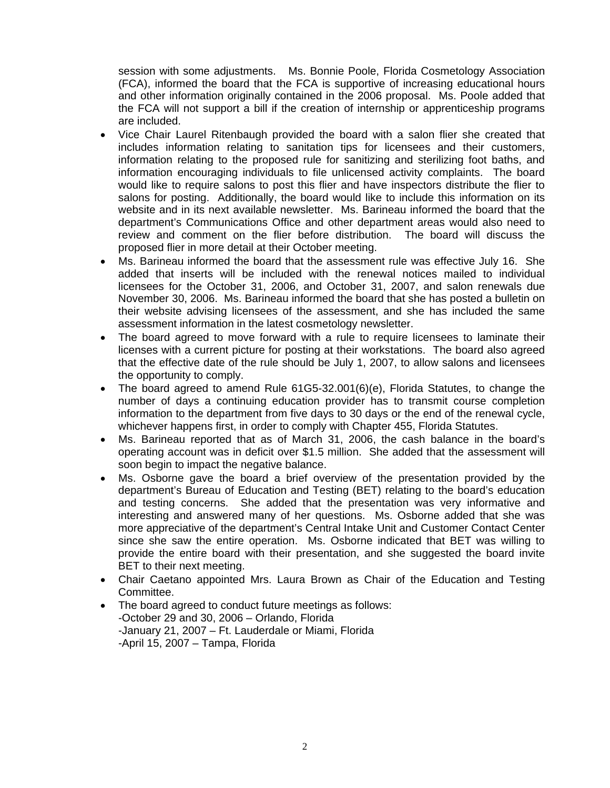session with some adjustments. Ms. Bonnie Poole, Florida Cosmetology Association (FCA), informed the board that the FCA is supportive of increasing educational hours and other information originally contained in the 2006 proposal. Ms. Poole added that the FCA will not support a bill if the creation of internship or apprenticeship programs are included.

- Vice Chair Laurel Ritenbaugh provided the board with a salon flier she created that includes information relating to sanitation tips for licensees and their customers, information relating to the proposed rule for sanitizing and sterilizing foot baths, and information encouraging individuals to file unlicensed activity complaints. The board would like to require salons to post this flier and have inspectors distribute the flier to salons for posting. Additionally, the board would like to include this information on its website and in its next available newsletter. Ms. Barineau informed the board that the department's Communications Office and other department areas would also need to review and comment on the flier before distribution. The board will discuss the proposed flier in more detail at their October meeting.
- Ms. Barineau informed the board that the assessment rule was effective July 16. She added that inserts will be included with the renewal notices mailed to individual licensees for the October 31, 2006, and October 31, 2007, and salon renewals due November 30, 2006. Ms. Barineau informed the board that she has posted a bulletin on their website advising licensees of the assessment, and she has included the same assessment information in the latest cosmetology newsletter.
- The board agreed to move forward with a rule to require licensees to laminate their licenses with a current picture for posting at their workstations. The board also agreed that the effective date of the rule should be July 1, 2007, to allow salons and licensees the opportunity to comply.
- The board agreed to amend Rule 61G5-32.001(6)(e), Florida Statutes, to change the number of days a continuing education provider has to transmit course completion information to the department from five days to 30 days or the end of the renewal cycle, whichever happens first, in order to comply with Chapter 455, Florida Statutes.
- Ms. Barineau reported that as of March 31, 2006, the cash balance in the board's operating account was in deficit over \$1.5 million. She added that the assessment will soon begin to impact the negative balance.
- Ms. Osborne gave the board a brief overview of the presentation provided by the department's Bureau of Education and Testing (BET) relating to the board's education and testing concerns. She added that the presentation was very informative and interesting and answered many of her questions. Ms. Osborne added that she was more appreciative of the department's Central Intake Unit and Customer Contact Center since she saw the entire operation. Ms. Osborne indicated that BET was willing to provide the entire board with their presentation, and she suggested the board invite BET to their next meeting.
- Chair Caetano appointed Mrs. Laura Brown as Chair of the Education and Testing Committee.
- The board agreed to conduct future meetings as follows: -October 29 and 30, 2006 – Orlando, Florida -January 21, 2007 – Ft. Lauderdale or Miami, Florida -April 15, 2007 – Tampa, Florida